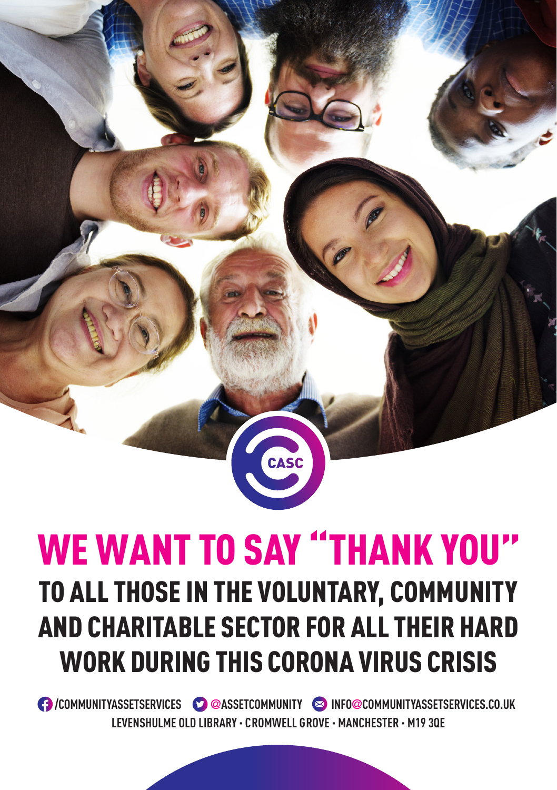## WE WANT TO SAY "THANK YOU" TO ALL THOSE IN THE VOLUNTARY, COMMUNITY AND CHARITABLE SECTOR FOR ALL THEIR HARD WORK DURING THIS CORONA VIRUS CRISIS

CASC

 **/COMMUNITYASSETSERVICES @ASSETCOMMUNITY INFO@COMMUNITYASSETSERVICES.CO.UK LEVENSHULME OLD LIBRARY · CROMWELL GROVE · MANCHESTER · M19 3QE**